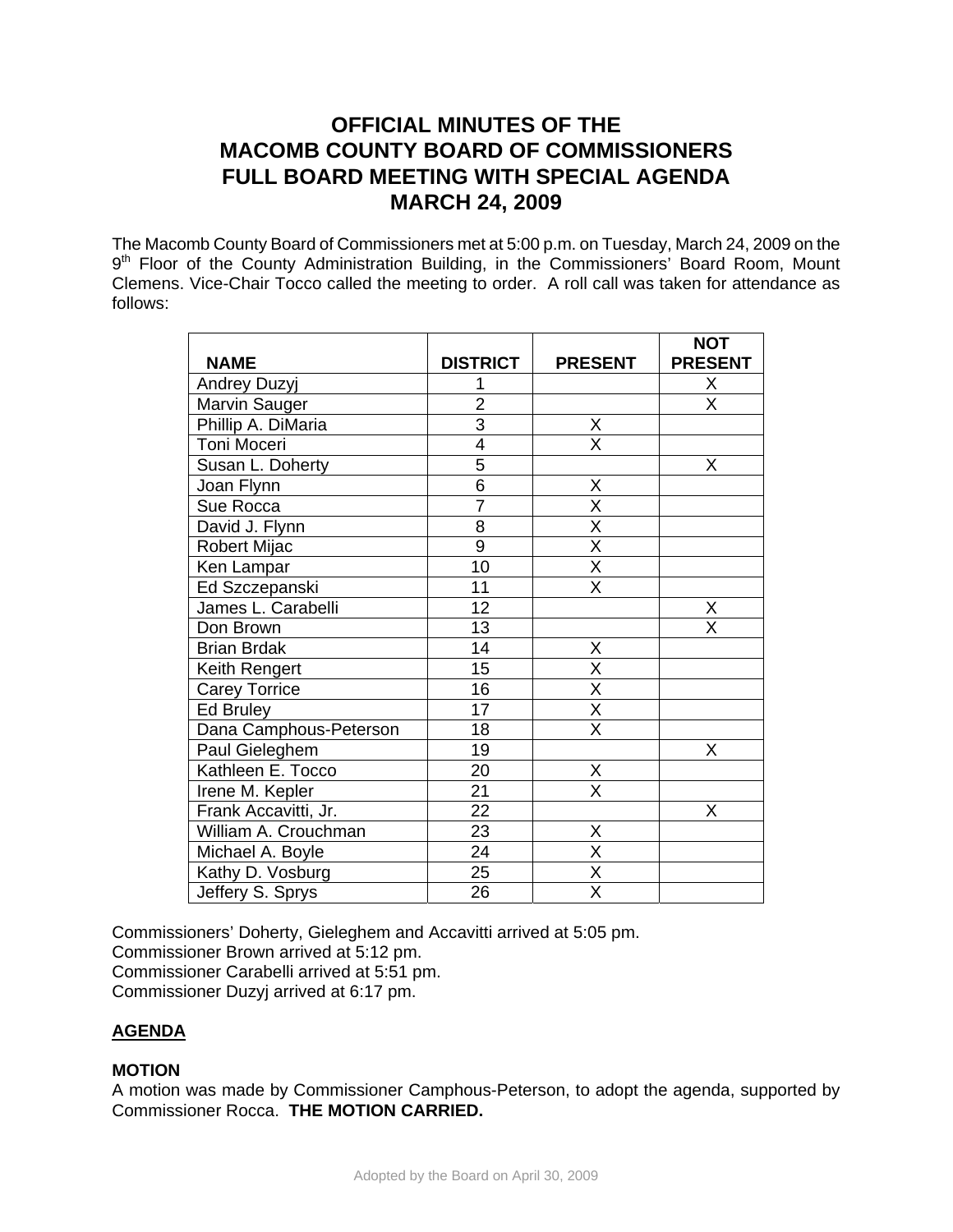# **OFFICIAL MINUTES OF THE MACOMB COUNTY BOARD OF COMMISSIONERS FULL BOARD MEETING WITH SPECIAL AGENDA MARCH 24, 2009**

The Macomb County Board of Commissioners met at 5:00 p.m. on Tuesday, March 24, 2009 on the 9<sup>th</sup> Floor of the County Administration Building, in the Commissioners' Board Room, Mount Clemens. Vice-Chair Tocco called the meeting to order. A roll call was taken for attendance as follows:

|                        |                 |                         | <b>NOT</b>              |
|------------------------|-----------------|-------------------------|-------------------------|
| <b>NAME</b>            | <b>DISTRICT</b> | <b>PRESENT</b>          | <b>PRESENT</b>          |
| Andrey Duzyj           |                 |                         | Χ                       |
| Marvin Sauger          | $\overline{2}$  |                         | $\overline{\mathsf{x}}$ |
| Phillip A. DiMaria     | $\overline{3}$  | X                       |                         |
| Toni Moceri            | 4               | $\overline{\mathsf{x}}$ |                         |
| Susan L. Doherty       | $\overline{5}$  |                         | X                       |
| Joan Flynn             | $\overline{6}$  | X                       |                         |
| Sue Rocca              | $\overline{7}$  | $\overline{\mathsf{x}}$ |                         |
| David J. Flynn         | $\overline{8}$  | $\overline{\mathsf{x}}$ |                         |
| Robert Mijac           | $\overline{9}$  | $\overline{\mathsf{X}}$ |                         |
| Ken Lampar             | 10              | $\overline{\mathsf{X}}$ |                         |
| Ed Szczepanski         | 11              | $\overline{\mathsf{x}}$ |                         |
| James L. Carabelli     | 12              |                         | X                       |
| Don Brown              | 13              |                         | $\overline{\mathsf{x}}$ |
| <b>Brian Brdak</b>     | 14              | Χ                       |                         |
| Keith Rengert          | 15              | $\overline{\mathsf{x}}$ |                         |
| <b>Carey Torrice</b>   | 16              | $\overline{\mathsf{X}}$ |                         |
| Ed Bruley              | 17              | $\overline{\mathsf{x}}$ |                         |
| Dana Camphous-Peterson | 18              | $\overline{\mathsf{x}}$ |                         |
| Paul Gieleghem         | 19              |                         | Χ                       |
| Kathleen E. Tocco      | 20              | X                       |                         |
| Irene M. Kepler        | 21              | $\overline{\mathsf{X}}$ |                         |
| Frank Accavitti, Jr.   | 22              |                         | Χ                       |
| William A. Crouchman   | $\overline{23}$ | Χ                       |                         |
| Michael A. Boyle       | 24              | $\overline{\mathsf{x}}$ |                         |
| Kathy D. Vosburg       | 25              | $\overline{\mathsf{X}}$ |                         |
| Jeffery S. Sprys       | 26              | $\overline{\mathsf{x}}$ |                         |

Commissioners' Doherty, Gieleghem and Accavitti arrived at 5:05 pm.

Commissioner Brown arrived at 5:12 pm.

Commissioner Carabelli arrived at 5:51 pm.

Commissioner Duzyj arrived at 6:17 pm.

# **AGENDA**

# **MOTION**

A motion was made by Commissioner Camphous-Peterson, to adopt the agenda, supported by Commissioner Rocca. **THE MOTION CARRIED.**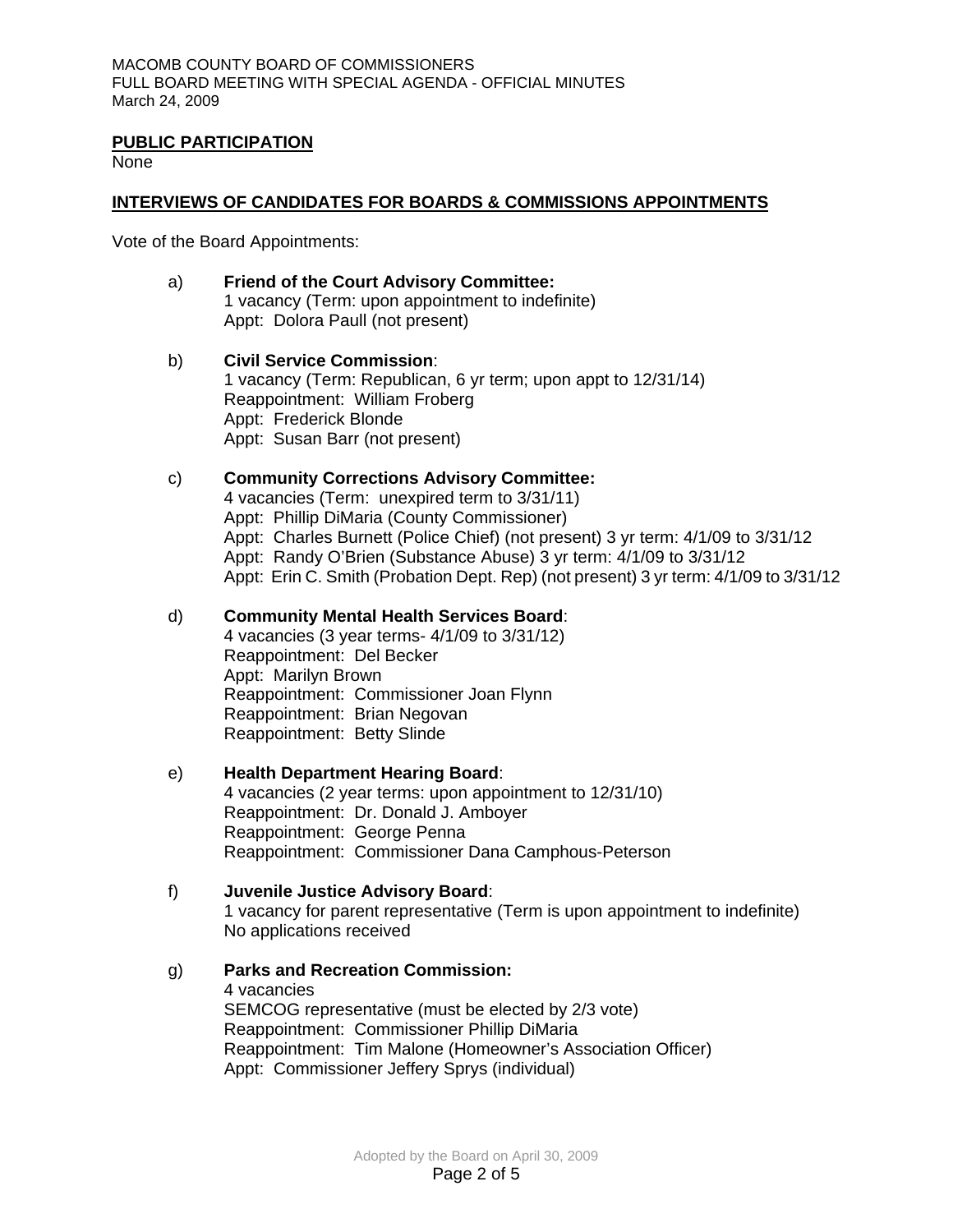#### **PUBLIC PARTICIPATION**

None

### **INTERVIEWS OF CANDIDATES FOR BOARDS & COMMISSIONS APPOINTMENTS**

Vote of the Board Appointments:

### a) **Friend of the Court Advisory Committee:** 1 vacancy (Term: upon appointment to indefinite) Appt: Dolora Paull (not present)

b) **Civil Service Commission**: 1 vacancy (Term: Republican, 6 yr term; upon appt to 12/31/14) Reappointment: William Froberg Appt: Frederick Blonde Appt: Susan Barr (not present)

### c) **Community Corrections Advisory Committee:**

4 vacancies (Term: unexpired term to 3/31/11) Appt: Phillip DiMaria (County Commissioner) Appt: Charles Burnett (Police Chief) (not present) 3 yr term: 4/1/09 to 3/31/12 Appt: Randy O'Brien (Substance Abuse) 3 yr term: 4/1/09 to 3/31/12 Appt: Erin C. Smith (Probation Dept. Rep) (not present) 3 yr term: 4/1/09 to 3/31/12

#### d) **Community Mental Health Services Board**:

4 vacancies (3 year terms- 4/1/09 to 3/31/12) Reappointment: Del Becker Appt: Marilyn Brown Reappointment: Commissioner Joan Flynn Reappointment: Brian Negovan Reappointment: Betty Slinde

#### e) **Health Department Hearing Board**:

4 vacancies (2 year terms: upon appointment to 12/31/10) Reappointment: Dr. Donald J. Amboyer Reappointment: George Penna Reappointment: Commissioner Dana Camphous-Peterson

#### f) **Juvenile Justice Advisory Board**:

1 vacancy for parent representative (Term is upon appointment to indefinite) No applications received

#### g) **Parks and Recreation Commission:**

4 vacancies SEMCOG representative (must be elected by 2/3 vote) Reappointment: Commissioner Phillip DiMaria Reappointment: Tim Malone (Homeowner's Association Officer) Appt: Commissioner Jeffery Sprys (individual)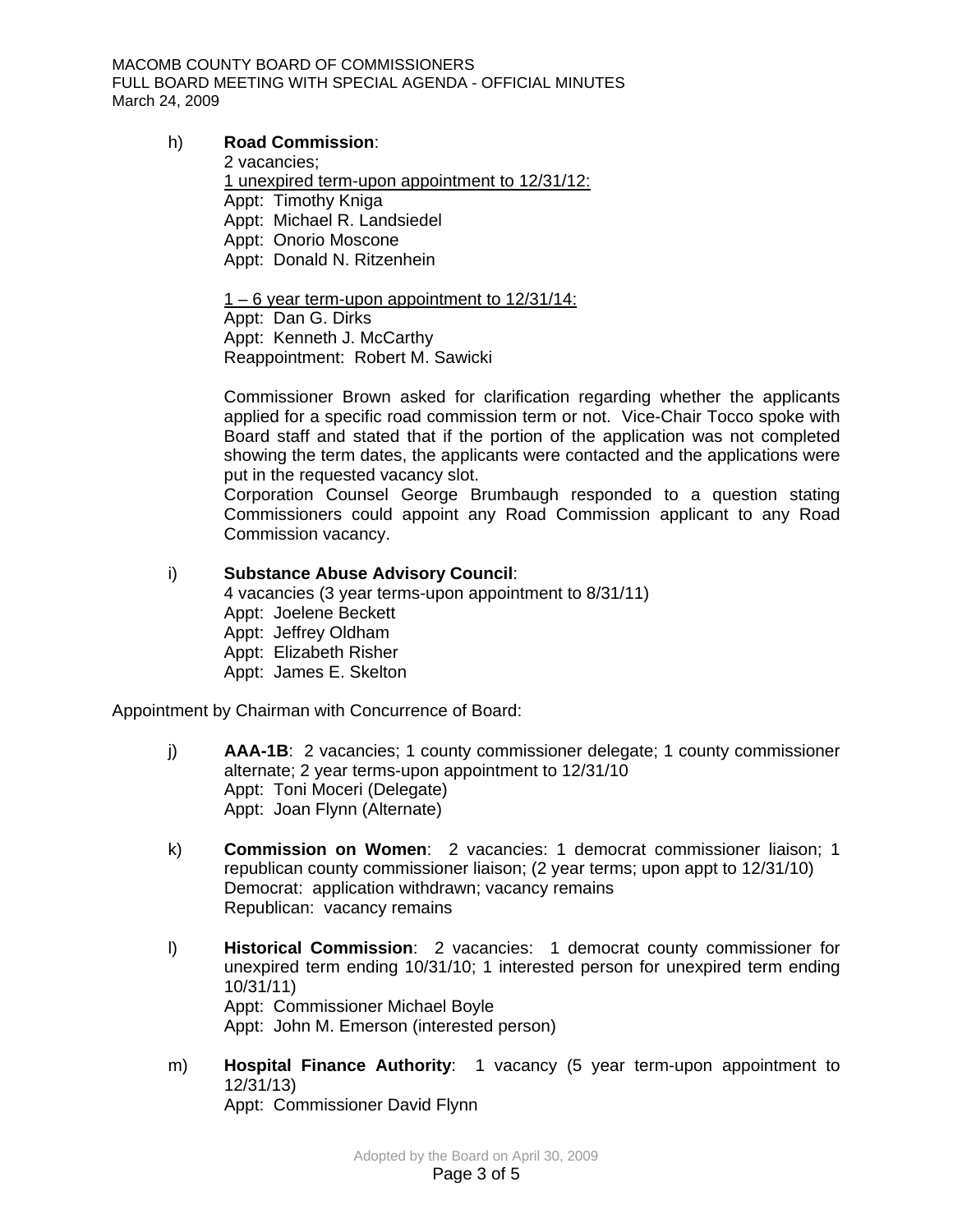MACOMB COUNTY BOARD OF COMMISSIONERS FULL BOARD MEETING WITH SPECIAL AGENDA - OFFICIAL MINUTES March 24, 2009

### h) **Road Commission**:

2 vacancies; 1 unexpired term-upon appointment to 12/31/12: Appt: Timothy Kniga Appt: Michael R. Landsiedel Appt: Onorio Moscone Appt: Donald N. Ritzenhein

1 – 6 year term-upon appointment to 12/31/14: Appt: Dan G. Dirks Appt: Kenneth J. McCarthy Reappointment: Robert M. Sawicki

Commissioner Brown asked for clarification regarding whether the applicants applied for a specific road commission term or not. Vice-Chair Tocco spoke with Board staff and stated that if the portion of the application was not completed showing the term dates, the applicants were contacted and the applications were put in the requested vacancy slot.

Corporation Counsel George Brumbaugh responded to a question stating Commissioners could appoint any Road Commission applicant to any Road Commission vacancy.

# i) **Substance Abuse Advisory Council**:

4 vacancies (3 year terms-upon appointment to 8/31/11) Appt: Joelene Beckett Appt: Jeffrey Oldham Appt: Elizabeth Risher Appt: James E. Skelton

Appointment by Chairman with Concurrence of Board:

- j) **AAA-1B**: 2 vacancies; 1 county commissioner delegate; 1 county commissioner alternate; 2 year terms-upon appointment to 12/31/10 Appt: Toni Moceri (Delegate) Appt: Joan Flynn (Alternate)
- k) **Commission on Women**: 2 vacancies: 1 democrat commissioner liaison; 1 republican county commissioner liaison; (2 year terms; upon appt to 12/31/10) Democrat: application withdrawn; vacancy remains Republican: vacancy remains
- l) **Historical Commission**: 2 vacancies: 1 democrat county commissioner for unexpired term ending 10/31/10; 1 interested person for unexpired term ending 10/31/11) Appt: Commissioner Michael Boyle Appt: John M. Emerson (interested person)
- m) **Hospital Finance Authority**: 1 vacancy (5 year term-upon appointment to 12/31/13) Appt: Commissioner David Flynn

Adopted by the Board on April 30, 2009 Page 3 of 5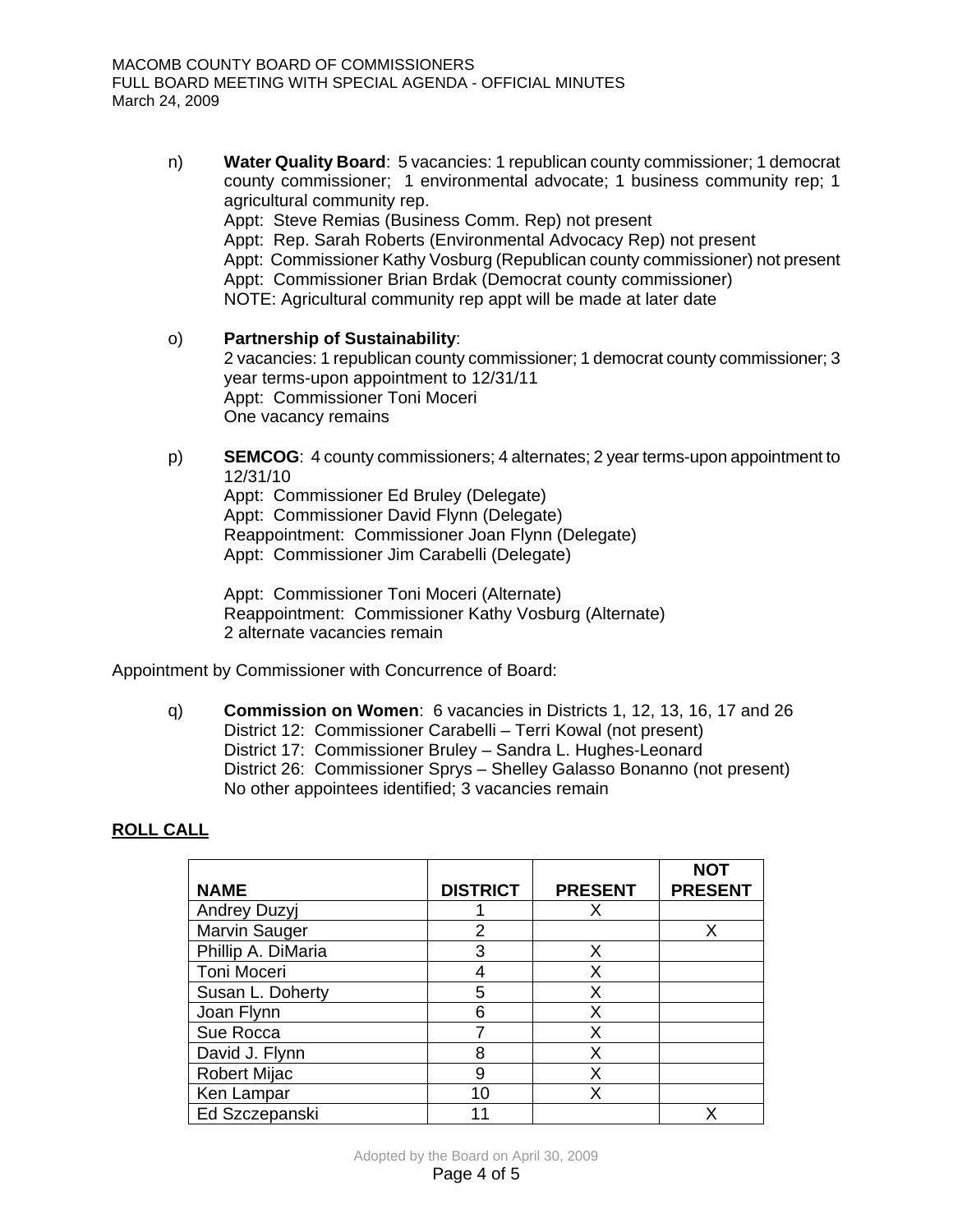n) **Water Quality Board**: 5 vacancies: 1 republican county commissioner; 1 democrat county commissioner; 1 environmental advocate; 1 business community rep; 1 agricultural community rep. Appt: Steve Remias (Business Comm. Rep) not present Appt: Rep. Sarah Roberts (Environmental Advocacy Rep) not present Appt: Commissioner Kathy Vosburg (Republican county commissioner) not present Appt: Commissioner Brian Brdak (Democrat county commissioner)

NOTE: Agricultural community rep appt will be made at later date

- o) **Partnership of Sustainability**: 2 vacancies: 1 republican county commissioner; 1 democrat county commissioner; 3 year terms-upon appointment to 12/31/11 Appt: Commissioner Toni Moceri One vacancy remains
- p) **SEMCOG**: 4 county commissioners; 4 alternates; 2 year terms-upon appointment to 12/31/10

Appt: Commissioner Ed Bruley (Delegate) Appt: Commissioner David Flynn (Delegate) Reappointment: Commissioner Joan Flynn (Delegate) Appt: Commissioner Jim Carabelli (Delegate)

Appt: Commissioner Toni Moceri (Alternate) Reappointment: Commissioner Kathy Vosburg (Alternate) 2 alternate vacancies remain

Appointment by Commissioner with Concurrence of Board:

q) **Commission on Women**: 6 vacancies in Districts 1, 12, 13, 16, 17 and 26 District 12: Commissioner Carabelli – Terri Kowal (not present) District 17: Commissioner Bruley – Sandra L. Hughes-Leonard District 26: Commissioner Sprys – Shelley Galasso Bonanno (not present) No other appointees identified; 3 vacancies remain

# **ROLL CALL**

|                     |                 |                | <b>NOT</b>     |
|---------------------|-----------------|----------------|----------------|
| <b>NAME</b>         | <b>DISTRICT</b> | <b>PRESENT</b> | <b>PRESENT</b> |
| Andrey Duzyj        |                 |                |                |
| Marvin Sauger       | 2               |                | х              |
| Phillip A. DiMaria  | 3               | Χ              |                |
| Toni Moceri         |                 | x              |                |
| Susan L. Doherty    | 5               | x              |                |
| Joan Flynn          | 6               | x              |                |
| Sue Rocca           |                 | x              |                |
| David J. Flynn      | 8               | x              |                |
| <b>Robert Mijac</b> | 9               | Χ              |                |
| Ken Lampar          | 10              |                |                |
| Ed Szczepanski      | 11              |                |                |

Adopted by the Board on April 30, 2009 Page 4 of 5